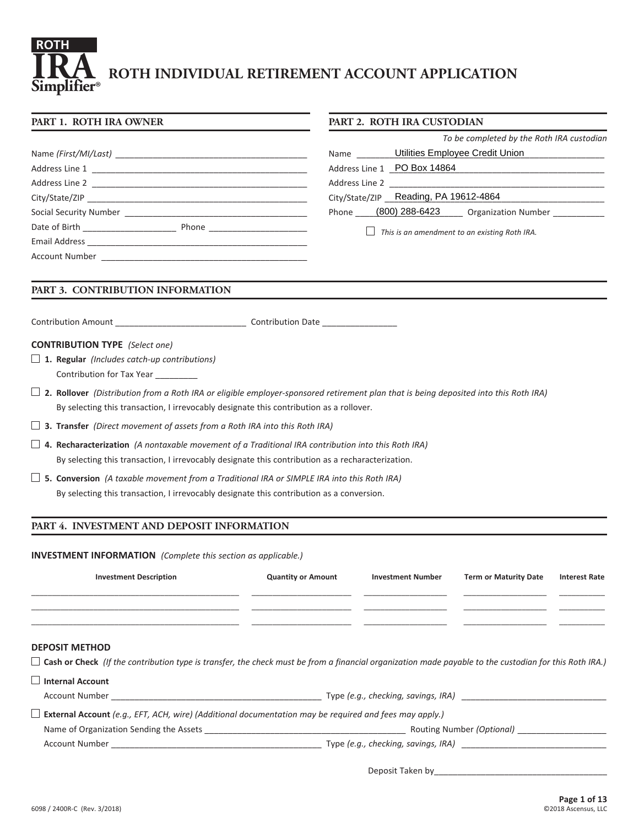# **ROTH INDIVIDUAL RETIREMENT ACCOUNT APPLICATION Simplifier® ROTH IRA**

# **PART 1. ROTH IRA OWNER**

| PART 2. ROTH IRA CUSTODIAN |  |  |  |  |
|----------------------------|--|--|--|--|
|----------------------------|--|--|--|--|

*To be completed by the Roth IRA custodian*

| Name (First/MI/Last)                                                                                                                                                                                                                                              | Utilities Employee Credit Union<br><b>Name</b>        |
|-------------------------------------------------------------------------------------------------------------------------------------------------------------------------------------------------------------------------------------------------------------------|-------------------------------------------------------|
|                                                                                                                                                                                                                                                                   | Address Line 1 PO Box 14864                           |
| Address Line 2                                                                                                                                                                                                                                                    |                                                       |
|                                                                                                                                                                                                                                                                   | City/State/ZIP Reading, PA 19612-4864                 |
| Social Security Number                                                                                                                                                                                                                                            | (800) 288-6423<br><b>Organization Number</b><br>Phone |
| Date of Birth <b>Exercise 20</b><br>Phone and the contract of the contract of the contract of the contract of the contract of the contract of the contract of the contract of the contract of the contract of the contract of the contract of the contract of the |                                                       |
| Email Address                                                                                                                                                                                                                                                     | This is an amendment to an existing Roth IRA.         |
| <b>Account Number</b>                                                                                                                                                                                                                                             |                                                       |

# **PART 3. CONTRIBUTION INFORMATION**

Contribution Amount \_\_\_\_\_\_\_\_\_\_\_\_\_\_\_\_\_\_\_\_\_\_\_\_\_\_\_\_ Contribution Date \_\_\_\_\_\_\_\_\_\_\_\_\_\_\_\_

#### **CONTRIBUTION TYPE** *(Select one)*

- **1. Regular** *(Includes catch-up contributions)* Contribution for Tax Year \_\_\_\_\_\_\_\_\_
- **2. Rollover** *(Distribution from a Roth IRA or eligible employer-sponsored retirement plan that is being deposited into this Roth IRA)*  By selecting this transaction, I irrevocably designate this contribution as a rollover.

**3. Transfer** *(Direct movement of assets from a Roth IRA into this Roth IRA)* 

- **4. Recharacterization** *(A nontaxable movement of a Traditional IRA contribution into this Roth IRA)*  By selecting this transaction, I irrevocably designate this contribution as a recharacterization.
- **5. Conversion** *(A taxable movement from a Traditional IRA or SIMPLE IRA into this Roth IRA)*  By selecting this transaction, I irrevocably designate this contribution as a conversion.

# **PART 4. INVESTMENT AND DEPOSIT INFORMATION**

**INVESTMENT INFORMATION** *(Complete this section as applicable.)*

| <b>Investment Description</b>                                                                                                                                                                                                       | <b>Quantity or Amount</b> | <b>Investment Number</b> | <b>Term or Maturity Date</b>        | <b>Interest Rate</b> |
|-------------------------------------------------------------------------------------------------------------------------------------------------------------------------------------------------------------------------------------|---------------------------|--------------------------|-------------------------------------|----------------------|
|                                                                                                                                                                                                                                     |                           |                          |                                     |                      |
|                                                                                                                                                                                                                                     |                           |                          |                                     |                      |
| <b>DEPOSIT METHOD</b>                                                                                                                                                                                                               |                           |                          |                                     |                      |
| $\Box$ Cash or Check (If the contribution type is transfer, the check must be from a financial organization made payable to the custodian for this Roth IRA.)                                                                       |                           |                          |                                     |                      |
| Internal Account                                                                                                                                                                                                                    |                           |                          |                                     |                      |
|                                                                                                                                                                                                                                     |                           |                          | Type (e.g., checking, savings, IRA) |                      |
| $\Box$ External Account (e.g., EFT, ACH, wire) (Additional documentation may be required and fees may apply.)                                                                                                                       |                           |                          |                                     |                      |
|                                                                                                                                                                                                                                     |                           |                          |                                     |                      |
| Account Number <b>Example 2</b> and the state of the state of the state of the state of the state of the state of the state of the state of the state of the state of the state of the state of the state of the state of the state |                           |                          |                                     |                      |
|                                                                                                                                                                                                                                     |                           |                          |                                     |                      |

Deposit Taken by\_\_\_\_\_\_\_\_\_\_\_\_\_\_\_\_\_\_\_\_\_\_\_\_\_\_\_\_\_\_\_\_\_\_\_\_\_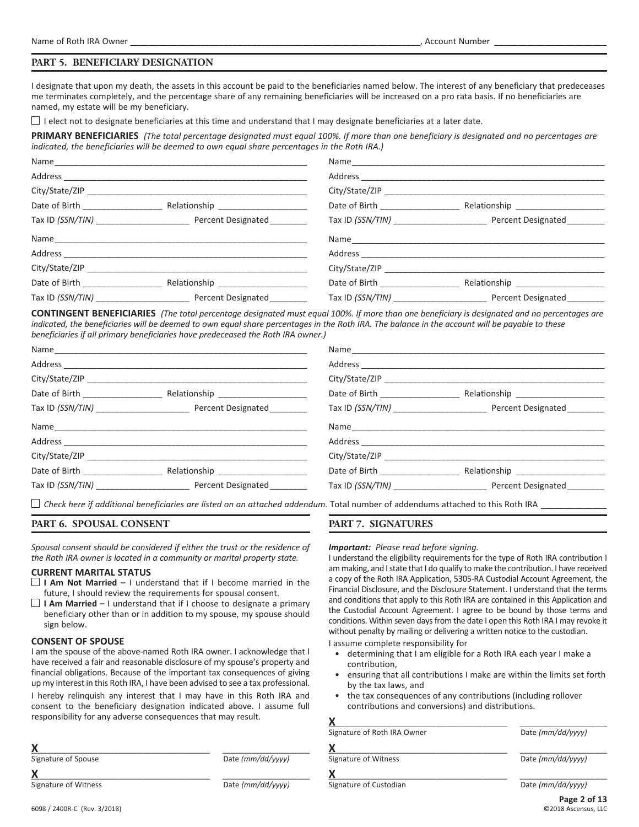#### **PART 5. BENEFICIARY DESIGNATION**

I designate that upon my death, the assets in this account be paid to the beneficiaries named below. The interest of any beneficiary that predeceases me terminates completely, and the percentage share of any remaining beneficiaries will be increased on a pro rata basis. If no beneficiaries are named, my estate will be my beneficiary.

 $\Box$  I elect not to designate beneficiaries at this time and understand that I may designate beneficiaries at a later date.

**PRIMARY BENEFICIARIES** *(The total percentage designated must equal 100%. If more than one beneficiary is designated and no percentages are indicated, the beneficiaries will be deemed to own equal share percentages in the Roth IRA.)*

|         |                                    | City/State/ZIP                                                      |
|---------|------------------------------------|---------------------------------------------------------------------|
|         | Date of Birth <b>Exercise 2018</b> | Relationship _____________________                                  |
|         |                                    | Tax ID (SSN/TIN) Percent Designated                                 |
|         |                                    |                                                                     |
| Address |                                    |                                                                     |
|         | City/State/ZIP                     |                                                                     |
|         | Date of Birth <b>Exercise 2018</b> |                                                                     |
|         |                                    | Tax ID (SSN/TIN) ______________________________ Percent Designated_ |

**CONTINGENT BENEFICIARIES** *(The total percentage designated must equal 100%. If more than one beneficiary is designated and no percentages are indicated, the beneficiaries will be deemed to own equal share percentages in the Roth IRA. The balance in the account will be payable to these beneficiaries if all primary beneficiaries have predeceased the Roth IRA owner.)*

|                                 |                                                                                                                                                                                                                                |                                    | City/State/ZIP                      |
|---------------------------------|--------------------------------------------------------------------------------------------------------------------------------------------------------------------------------------------------------------------------------|------------------------------------|-------------------------------------|
| Date of Birth _________________ |                                                                                                                                                                                                                                |                                    | Relationship ____________________   |
|                                 | Tax ID (SSN/TIN) Percent Designated                                                                                                                                                                                            |                                    | Tax ID (SSN/TIN) Percent Designated |
|                                 |                                                                                                                                                                                                                                |                                    |                                     |
|                                 | Address and the contract of the contract of the contract of the contract of the contract of the contract of the contract of the contract of the contract of the contract of the contract of the contract of the contract of th |                                    |                                     |
|                                 | City/State/ZIP and the contract of the contract of the contract of the contract of the contract of the contract of the contract of the contract of the contract of the contract of the contract of the contract of the contrac | City/State/ZIP                     |                                     |
|                                 |                                                                                                                                                                                                                                | Date of Birth <b>Exercise 2018</b> | Relationship ___________________    |
|                                 | Tax ID (SSN/TIN) Percent Designated                                                                                                                                                                                            |                                    | Tax ID (SSN/TIN) Percent Designated |

 $\Box$  Check here if additional beneficiaries are listed on an attached addendum. Total number of addendums attached to this Roth IRA

#### **PART 6. SPOUSAL CONSENT**

*Spousal consent should be considered if either the trust or the residence of the Roth IRA owner is located in a community or marital property state.*

#### **CURRENT MARITAL STATUS**

- **I Am Not Married –** I understand that if I become married in the future, I should review the requirements for spousal consent.
- **I Am Married –** I understand that if I choose to designate a primary beneficiary other than or in addition to my spouse, my spouse should sign below.

#### **CONSENT OF SPOUSE**

I am the spouse of the above-named Roth IRA owner. I acknowledge that I have received a fair and reasonable disclosure of my spouse's property and financial obligations. Because of the important tax consequences of giving up my interest in this Roth IRA, I have been advised to see a tax professional.

I hereby relinquish any interest that I may have in this Roth IRA and consent to the beneficiary designation indicated above. I assume full responsibility for any adverse consequences that may result.

| Signature of Spouse | Date (mm/dd/yyyy) |
|---------------------|-------------------|
|                     |                   |

# **PART 7. SIGNATURES**

#### *Important: Please read before signing.*

I understand the eligibility requirements for the type of Roth IRA contribution I am making, and I state that I do qualify to make the contribution. I have received a copy of the Roth IRA Application, 5305‑RA Custodial Account Agreement, the Financial Disclosure, and the Disclosure Statement. I understand that the terms and conditions that apply to this Roth IRA are contained in this Application and the Custodial Account Agreement. I agree to be bound by those terms and conditions. Within seven days from the date I open this Roth IRA I may revoke it without penalty by mailing or delivering a written notice to the custodian.

I assume complete responsibility for

- determining that I am eligible for a Roth IRA each year I make a contribution,
- ensuring that all contributions I make are within the limits set forth by the tax laws, and
- the tax consequences of any contributions (including rollover contributions and conversions) and distributions.

| Signature of Roth IRA Owner | Date (mm/dd/yyyy) |
|-----------------------------|-------------------|
| Х                           |                   |
| Signature of Witness        | Date (mm/dd/yyyy) |
|                             |                   |
| Signature of Custodian      | Date (mm/dd/yyyy) |
|                             | $D_{200}$ 2 of 12 |

Signature of Witness **Date** (mm/dd/yyyy)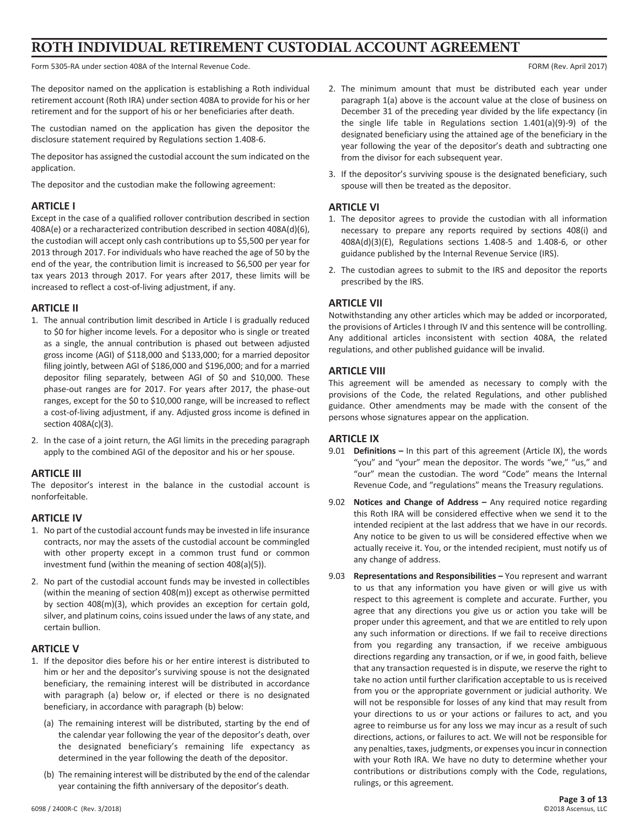# **ROTH INDIVIDUAL RETIREMENT CUSTODIAL ACCOUNT AGREEMENT**

Form 5305-RA under section 408A of the Internal Revenue Code. For example of the Internal Revenue Code. For example 2017)

The depositor named on the application is establishing a Roth individual retirement account (Roth IRA) under section 408A to provide for his or her retirement and for the support of his or her beneficiaries after death.

The custodian named on the application has given the depositor the disclosure statement required by Regulations section 1.408‑6.

The depositor has assigned the custodial account the sum indicated on the application.

The depositor and the custodian make the following agreement:

#### **ARTICLE I**

Except in the case of a qualified rollover contribution described in section 408A(e) or a recharacterized contribution described in section 408A(d)(6), the custodian will accept only cash contributions up to \$5,500 per year for 2013 through 2017. For individuals who have reached the age of 50 by the end of the year, the contribution limit is increased to \$6,500 per year for tax years 2013 through 2017. For years after 2017, these limits will be increased to reflect a cost-of-living adjustment, if any.

#### **ARTICLE II**

- 1. The annual contribution limit described in Article I is gradually reduced to \$0 for higher income levels. For a depositor who is single or treated as a single, the annual contribution is phased out between adjusted gross income (AGI) of \$118,000 and \$133,000; for a married depositor filing jointly, between AGI of \$186,000 and \$196,000; and for a married depositor filing separately, between AGI of \$0 and \$10,000. These phase-out ranges are for 2017. For years after 2017, the phase-out ranges, except for the \$0 to \$10,000 range, will be increased to reflect a cost-of-living adjustment, if any. Adjusted gross income is defined in section 408A(c)(3).
- 2. In the case of a joint return, the AGI limits in the preceding paragraph apply to the combined AGI of the depositor and his or her spouse.

# **ARTICLE III**

The depositor's interest in the balance in the custodial account is nonforfeitable.

#### **ARTICLE IV**

- 1. No part of the custodial account funds may be invested in life insurance contracts, nor may the assets of the custodial account be commingled with other property except in a common trust fund or common investment fund (within the meaning of section 408(a)(5)).
- 2. No part of the custodial account funds may be invested in collectibles (within the meaning of section 408(m)) except as otherwise permitted by section 408(m)(3), which provides an exception for certain gold, silver, and platinum coins, coins issued under the laws of any state, and certain bullion.

# **ARTICLE V**

- 1. If the depositor dies before his or her entire interest is distributed to him or her and the depositor's surviving spouse is not the designated beneficiary, the remaining interest will be distributed in accordance with paragraph (a) below or, if elected or there is no designated beneficiary, in accordance with paragraph (b) below:
	- (a) The remaining interest will be distributed, starting by the end of the calendar year following the year of the depositor's death, over the designated beneficiary's remaining life expectancy as determined in the year following the death of the depositor.
	- (b) The remaining interest will be distributed by the end of the calendar year containing the fifth anniversary of the depositor's death.
- 2. The minimum amount that must be distributed each year under paragraph 1(a) above is the account value at the close of business on December 31 of the preceding year divided by the life expectancy (in the single life table in Regulations section 1.401(a)(9)‑9) of the designated beneficiary using the attained age of the beneficiary in the year following the year of the depositor's death and subtracting one from the divisor for each subsequent year.
- 3. If the depositor's surviving spouse is the designated beneficiary, such spouse will then be treated as the depositor.

### **ARTICLE VI**

- 1. The depositor agrees to provide the custodian with all information necessary to prepare any reports required by sections 408(i) and 408A(d)(3)(E), Regulations sections 1.408‑5 and 1.408‑6, or other guidance published by the Internal Revenue Service (IRS).
- 2. The custodian agrees to submit to the IRS and depositor the reports prescribed by the IRS.

# **ARTICLE VII**

Notwithstanding any other articles which may be added or incorporated, the provisions of Articles I through IV and this sentence will be controlling. Any additional articles inconsistent with section 408A, the related regulations, and other published guidance will be invalid.

# **ARTICLE VIII**

This agreement will be amended as necessary to comply with the provisions of the Code, the related Regulations, and other published guidance. Other amendments may be made with the consent of the persons whose signatures appear on the application.

# **ARTICLE IX**

- 9.01 **Definitions –** In this part of this agreement (Article IX), the words "you" and "your" mean the depositor. The words "we," "us," and "our" mean the custodian. The word "Code" means the Internal Revenue Code, and "regulations" means the Treasury regulations.
- 9.02 **Notices and Change of Address –** Any required notice regarding this Roth IRA will be considered effective when we send it to the intended recipient at the last address that we have in our records. Any notice to be given to us will be considered effective when we actually receive it. You, or the intended recipient, must notify us of any change of address.
- 9.03 **Representations and Responsibilities –** You represent and warrant to us that any information you have given or will give us with respect to this agreement is complete and accurate. Further, you agree that any directions you give us or action you take will be proper under this agreement, and that we are entitled to rely upon any such information or directions. If we fail to receive directions from you regarding any transaction, if we receive ambiguous directions regarding any transaction, or if we, in good faith, believe that any transaction requested is in dispute, we reserve the right to take no action until further clarification acceptable to us is received from you or the appropriate government or judicial authority. We will not be responsible for losses of any kind that may result from your directions to us or your actions or failures to act, and you agree to reimburse us for any loss we may incur as a result of such directions, actions, or failures to act. We will not be responsible for any penalties, taxes, judgments, or expenses you incur in connection with your Roth IRA. We have no duty to determine whether your contributions or distributions comply with the Code, regulations, rulings, or this agreement.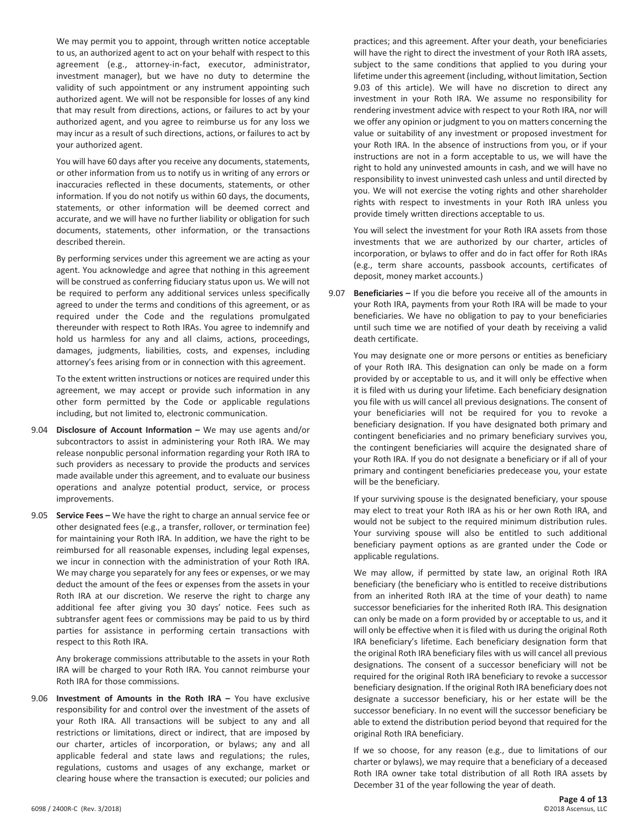We may permit you to appoint, through written notice acceptable to us, an authorized agent to act on your behalf with respect to this agreement (e.g., attorney-in-fact, executor, administrator, investment manager), but we have no duty to determine the validity of such appointment or any instrument appointing such authorized agent. We will not be responsible for losses of any kind that may result from directions, actions, or failures to act by your authorized agent, and you agree to reimburse us for any loss we may incur as a result of such directions, actions, or failures to act by your authorized agent.

You will have 60 days after you receive any documents, statements, or other information from us to notify us in writing of any errors or inaccuracies reflected in these documents, statements, or other information. If you do not notify us within 60 days, the documents, statements, or other information will be deemed correct and accurate, and we will have no further liability or obligation for such documents, statements, other information, or the transactions described therein.

By performing services under this agreement we are acting as your agent. You acknowledge and agree that nothing in this agreement will be construed as conferring fiduciary status upon us. We will not be required to perform any additional services unless specifically agreed to under the terms and conditions of this agreement, or as required under the Code and the regulations promulgated thereunder with respect to Roth IRAs. You agree to indemnify and hold us harmless for any and all claims, actions, proceedings, damages, judgments, liabilities, costs, and expenses, including attorney's fees arising from or in connection with this agreement.

To the extent written instructions or notices are required under this agreement, we may accept or provide such information in any other form permitted by the Code or applicable regulations including, but not limited to, electronic communication.

- 9.04 **Disclosure of Account Information –** We may use agents and/or subcontractors to assist in administering your Roth IRA. We may release nonpublic personal information regarding your Roth IRA to such providers as necessary to provide the products and services made available under this agreement, and to evaluate our business operations and analyze potential product, service, or process improvements.
- 9.05 **Service Fees –** We have the right to charge an annual service fee or other designated fees (e.g., a transfer, rollover, or termination fee) for maintaining your Roth IRA. In addition, we have the right to be reimbursed for all reasonable expenses, including legal expenses, we incur in connection with the administration of your Roth IRA. We may charge you separately for any fees or expenses, or we may deduct the amount of the fees or expenses from the assets in your Roth IRA at our discretion. We reserve the right to charge any additional fee after giving you 30 days' notice. Fees such as subtransfer agent fees or commissions may be paid to us by third parties for assistance in performing certain transactions with respect to this Roth IRA.

Any brokerage commissions attributable to the assets in your Roth IRA will be charged to your Roth IRA. You cannot reimburse your Roth IRA for those commissions.

9.06 **Investment of Amounts in the Roth IRA –** You have exclusive responsibility for and control over the investment of the assets of your Roth IRA. All transactions will be subject to any and all restrictions or limitations, direct or indirect, that are imposed by our charter, articles of incorporation, or bylaws; any and all applicable federal and state laws and regulations; the rules, regulations, customs and usages of any exchange, market or clearing house where the transaction is executed; our policies and

practices; and this agreement. After your death, your beneficiaries will have the right to direct the investment of your Roth IRA assets, subject to the same conditions that applied to you during your lifetime under this agreement (including, without limitation, Section 9.03 of this article). We will have no discretion to direct any investment in your Roth IRA. We assume no responsibility for rendering investment advice with respect to your Roth IRA, nor will we offer any opinion or judgment to you on matters concerning the value or suitability of any investment or proposed investment for your Roth IRA. In the absence of instructions from you, or if your instructions are not in a form acceptable to us, we will have the right to hold any uninvested amounts in cash, and we will have no responsibility to invest uninvested cash unless and until directed by you. We will not exercise the voting rights and other shareholder rights with respect to investments in your Roth IRA unless you provide timely written directions acceptable to us.

You will select the investment for your Roth IRA assets from those investments that we are authorized by our charter, articles of incorporation, or bylaws to offer and do in fact offer for Roth IRAs (e.g., term share accounts, passbook accounts, certificates of deposit, money market accounts.)

9.07 **Beneficiaries –** If you die before you receive all of the amounts in your Roth IRA, payments from your Roth IRA will be made to your beneficiaries. We have no obligation to pay to your beneficiaries until such time we are notified of your death by receiving a valid death certificate.

You may designate one or more persons or entities as beneficiary of your Roth IRA. This designation can only be made on a form provided by or acceptable to us, and it will only be effective when it is filed with us during your lifetime. Each beneficiary designation you file with us will cancel all previous designations. The consent of your beneficiaries will not be required for you to revoke a beneficiary designation. If you have designated both primary and contingent beneficiaries and no primary beneficiary survives you, the contingent beneficiaries will acquire the designated share of your Roth IRA. If you do not designate a beneficiary or if all of your primary and contingent beneficiaries predecease you, your estate will be the beneficiary.

If your surviving spouse is the designated beneficiary, your spouse may elect to treat your Roth IRA as his or her own Roth IRA, and would not be subject to the required minimum distribution rules. Your surviving spouse will also be entitled to such additional beneficiary payment options as are granted under the Code or applicable regulations.

We may allow, if permitted by state law, an original Roth IRA beneficiary (the beneficiary who is entitled to receive distributions from an inherited Roth IRA at the time of your death) to name successor beneficiaries for the inherited Roth IRA. This designation can only be made on a form provided by or acceptable to us, and it will only be effective when it is filed with us during the original Roth IRA beneficiary's lifetime. Each beneficiary designation form that the original Roth IRA beneficiary files with us will cancel all previous designations. The consent of a successor beneficiary will not be required for the original Roth IRA beneficiary to revoke a successor beneficiary designation. If the original Roth IRA beneficiary does not designate a successor beneficiary, his or her estate will be the successor beneficiary. In no event will the successor beneficiary be able to extend the distribution period beyond that required for the original Roth IRA beneficiary.

If we so choose, for any reason (e.g., due to limitations of our charter or bylaws), we may require that a beneficiary of a deceased Roth IRA owner take total distribution of all Roth IRA assets by December 31 of the year following the year of death.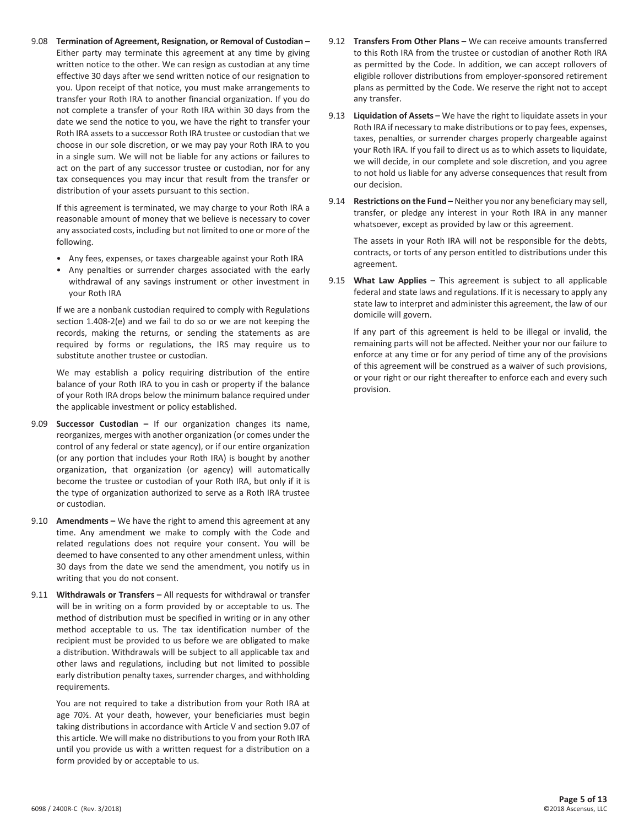9.08 **Termination of Agreement, Resignation, or Removal of Custodian –** Either party may terminate this agreement at any time by giving written notice to the other. We can resign as custodian at any time effective 30 days after we send written notice of our resignation to you. Upon receipt of that notice, you must make arrangements to transfer your Roth IRA to another financial organization. If you do not complete a transfer of your Roth IRA within 30 days from the date we send the notice to you, we have the right to transfer your Roth IRA assets to a successor Roth IRA trustee or custodian that we choose in our sole discretion, or we may pay your Roth IRA to you in a single sum. We will not be liable for any actions or failures to act on the part of any successor trustee or custodian, nor for any tax consequences you may incur that result from the transfer or distribution of your assets pursuant to this section.

If this agreement is terminated, we may charge to your Roth IRA a reasonable amount of money that we believe is necessary to cover any associated costs, including but not limited to one or more of the following.

- Any fees, expenses, or taxes chargeable against your Roth IRA
- Any penalties or surrender charges associated with the early withdrawal of any savings instrument or other investment in your Roth IRA

If we are a nonbank custodian required to comply with Regulations section 1.408‑2(e) and we fail to do so or we are not keeping the records, making the returns, or sending the statements as are required by forms or regulations, the IRS may require us to substitute another trustee or custodian.

We may establish a policy requiring distribution of the entire balance of your Roth IRA to you in cash or property if the balance of your Roth IRA drops below the minimum balance required under the applicable investment or policy established.

- 9.09 **Successor Custodian –** If our organization changes its name, reorganizes, merges with another organization (or comes under the control of any federal or state agency), or if our entire organization (or any portion that includes your Roth IRA) is bought by another organization, that organization (or agency) will automatically become the trustee or custodian of your Roth IRA, but only if it is the type of organization authorized to serve as a Roth IRA trustee or custodian.
- 9.10 **Amendments –** We have the right to amend this agreement at any time. Any amendment we make to comply with the Code and related regulations does not require your consent. You will be deemed to have consented to any other amendment unless, within 30 days from the date we send the amendment, you notify us in writing that you do not consent.
- 9.11 **Withdrawals or Transfers –** All requests for withdrawal or transfer will be in writing on a form provided by or acceptable to us. The method of distribution must be specified in writing or in any other method acceptable to us. The tax identification number of the recipient must be provided to us before we are obligated to make a distribution. Withdrawals will be subject to all applicable tax and other laws and regulations, including but not limited to possible early distribution penalty taxes, surrender charges, and withholding requirements.

You are not required to take a distribution from your Roth IRA at age 70½. At your death, however, your beneficiaries must begin taking distributions in accordance with Article V and section 9.07 of this article. We will make no distributions to you from your Roth IRA until you provide us with a written request for a distribution on a form provided by or acceptable to us.

- 9.12 **Transfers From Other Plans –** We can receive amounts transferred to this Roth IRA from the trustee or custodian of another Roth IRA as permitted by the Code. In addition, we can accept rollovers of eligible rollover distributions from employer-sponsored retirement plans as permitted by the Code. We reserve the right not to accept any transfer.
- 9.13 **Liquidation of Assets –** We have the right to liquidate assets in your Roth IRA if necessary to make distributions or to pay fees, expenses, taxes, penalties, or surrender charges properly chargeable against your Roth IRA. If you fail to direct us as to which assets to liquidate, we will decide, in our complete and sole discretion, and you agree to not hold us liable for any adverse consequences that result from our decision.
- 9.14 **Restrictions on the Fund –** Neither you nor any beneficiary may sell, transfer, or pledge any interest in your Roth IRA in any manner whatsoever, except as provided by law or this agreement.

The assets in your Roth IRA will not be responsible for the debts, contracts, or torts of any person entitled to distributions under this agreement.

9.15 **What Law Applies –** This agreement is subject to all applicable federal and state laws and regulations. If it is necessary to apply any state law to interpret and administer this agreement, the law of our domicile will govern.

If any part of this agreement is held to be illegal or invalid, the remaining parts will not be affected. Neither your nor our failure to enforce at any time or for any period of time any of the provisions of this agreement will be construed as a waiver of such provisions, or your right or our right thereafter to enforce each and every such provision.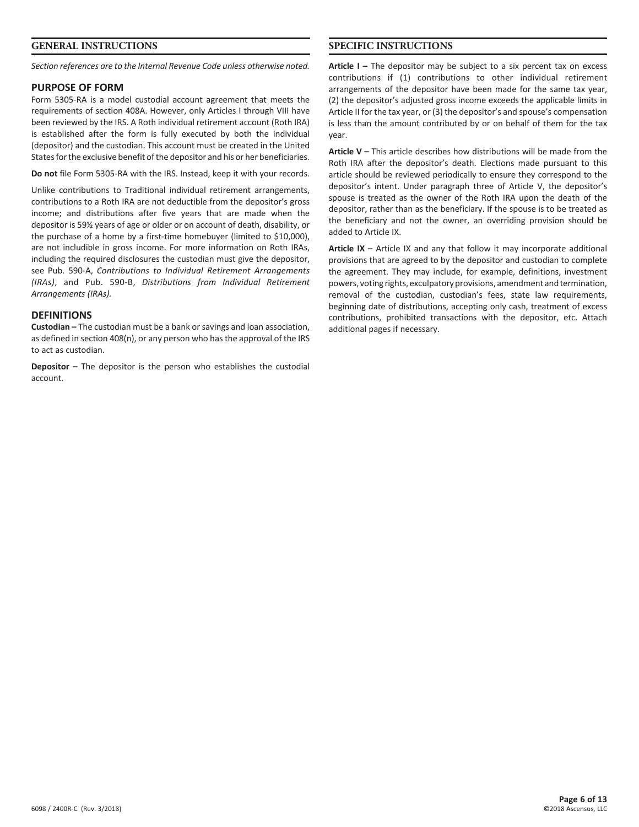#### **GENERAL INSTRUCTIONS**

*Section references are to the Internal Revenue Code unless otherwise noted.*

#### **PURPOSE OF FORM**

Form 5305‑RA is a model custodial account agreement that meets the requirements of section 408A. However, only Articles I through VIII have been reviewed by the IRS. A Roth individual retirement account (Roth IRA) is established after the form is fully executed by both the individual (depositor) and the custodian. This account must be created in the United States for the exclusive benefit of the depositor and his or her beneficiaries.

**Do not** file Form 5305‑RA with the IRS. Instead, keep it with your records.

Unlike contributions to Traditional individual retirement arrangements, contributions to a Roth IRA are not deductible from the depositor's gross income; and distributions after five years that are made when the depositor is 59½ years of age or older or on account of death, disability, or the purchase of a home by a first-time homebuyer (limited to \$10,000), are not includible in gross income. For more information on Roth IRAs, including the required disclosures the custodian must give the depositor, see Pub. 590‑A, *Contributions to Individual Retirement Arrangements (IRAs)*, and Pub. 590‑B, *Distributions from Individual Retirement Arrangements (IRAs).*

#### **DEFINITIONS**

**Custodian –** The custodian must be a bank or savings and loan association, as defined in section 408(n), or any person who has the approval of the IRS to act as custodian.

**Depositor –** The depositor is the person who establishes the custodial account.

## **SPECIFIC INSTRUCTIONS**

**Article I –** The depositor may be subject to a six percent tax on excess contributions if (1) contributions to other individual retirement arrangements of the depositor have been made for the same tax year, (2) the depositor's adjusted gross income exceeds the applicable limits in Article II for the tax year, or (3) the depositor's and spouse's compensation is less than the amount contributed by or on behalf of them for the tax year.

**Article V –** This article describes how distributions will be made from the Roth IRA after the depositor's death. Elections made pursuant to this article should be reviewed periodically to ensure they correspond to the depositor's intent. Under paragraph three of Article V, the depositor's spouse is treated as the owner of the Roth IRA upon the death of the depositor, rather than as the beneficiary. If the spouse is to be treated as the beneficiary and not the owner, an overriding provision should be added to Article IX.

**Article IX –** Article IX and any that follow it may incorporate additional provisions that are agreed to by the depositor and custodian to complete the agreement. They may include, for example, definitions, investment powers, voting rights, exculpatory provisions, amendment and termination, removal of the custodian, custodian's fees, state law requirements, beginning date of distributions, accepting only cash, treatment of excess contributions, prohibited transactions with the depositor, etc. Attach additional pages if necessary.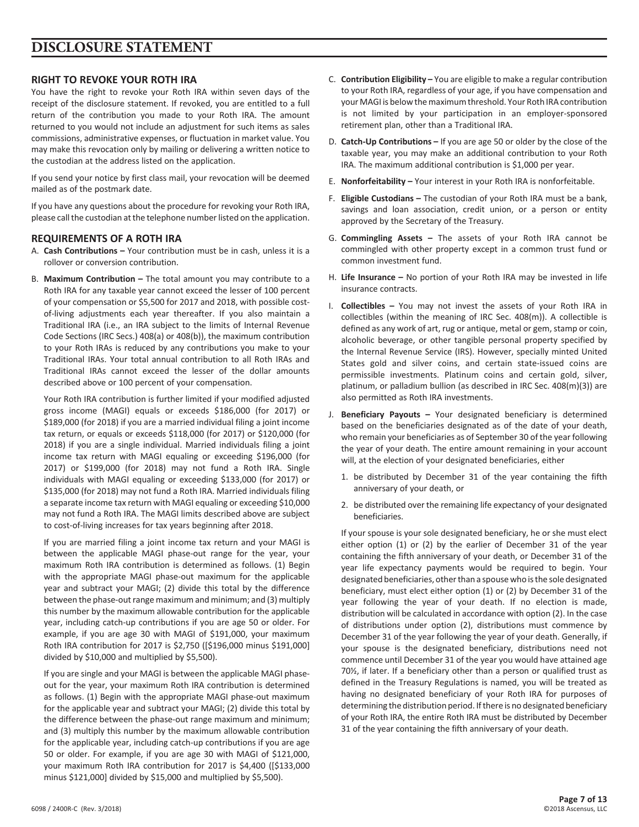# **DISCLOSURE STATEMENT**

## **RIGHT TO REVOKE YOUR ROTH IRA**

You have the right to revoke your Roth IRA within seven days of the receipt of the disclosure statement. If revoked, you are entitled to a full return of the contribution you made to your Roth IRA. The amount returned to you would not include an adjustment for such items as sales commissions, administrative expenses, or fluctuation in market value. You may make this revocation only by mailing or delivering a written notice to the custodian at the address listed on the application.

If you send your notice by first class mail, your revocation will be deemed mailed as of the postmark date.

If you have any questions about the procedure for revoking your Roth IRA, please call the custodian at the telephone number listed on the application.

#### **REQUIREMENTS OF A ROTH IRA**

- A. **Cash Contributions –** Your contribution must be in cash, unless it is a rollover or conversion contribution.
- B. **Maximum Contribution –** The total amount you may contribute to a Roth IRA for any taxable year cannot exceed the lesser of 100 percent of your compensation or \$5,500 for 2017 and 2018, with possible costof-living adjustments each year thereafter. If you also maintain a Traditional IRA (i.e., an IRA subject to the limits of Internal Revenue Code Sections (IRC Secs.) 408(a) or 408(b)), the maximum contribution to your Roth IRAs is reduced by any contributions you make to your Traditional IRAs. Your total annual contribution to all Roth IRAs and Traditional IRAs cannot exceed the lesser of the dollar amounts described above or 100 percent of your compensation.

Your Roth IRA contribution is further limited if your modified adjusted gross income (MAGI) equals or exceeds \$186,000 (for 2017) or \$189,000 (for 2018) if you are a married individual filing a joint income tax return, or equals or exceeds \$118,000 (for 2017) or \$120,000 (for 2018) if you are a single individual. Married individuals filing a joint income tax return with MAGI equaling or exceeding \$196,000 (for 2017) or \$199,000 (for 2018) may not fund a Roth IRA. Single individuals with MAGI equaling or exceeding \$133,000 (for 2017) or \$135,000 (for 2018) may not fund a Roth IRA. Married individuals filing a separate income tax return with MAGI equaling or exceeding \$10,000 may not fund a Roth IRA. The MAGI limits described above are subject to cost-of-living increases for tax years beginning after 2018.

If you are married filing a joint income tax return and your MAGI is between the applicable MAGI phase-out range for the year, your maximum Roth IRA contribution is determined as follows. (1) Begin with the appropriate MAGI phase-out maximum for the applicable year and subtract your MAGI; (2) divide this total by the difference between the phase-out range maximum and minimum; and (3) multiply this number by the maximum allowable contribution for the applicable year, including catch-up contributions if you are age 50 or older. For example, if you are age 30 with MAGI of \$191,000, your maximum Roth IRA contribution for 2017 is \$2,750 ([\$196,000 minus \$191,000] divided by \$10,000 and multiplied by \$5,500).

If you are single and your MAGI is between the applicable MAGI phaseout for the year, your maximum Roth IRA contribution is determined as follows. (1) Begin with the appropriate MAGI phase-out maximum for the applicable year and subtract your MAGI; (2) divide this total by the difference between the phase-out range maximum and minimum; and (3) multiply this number by the maximum allowable contribution for the applicable year, including catch-up contributions if you are age 50 or older. For example, if you are age 30 with MAGI of \$121,000, your maximum Roth IRA contribution for 2017 is \$4,400 ([\$133,000 minus \$121,000] divided by \$15,000 and multiplied by \$5,500).

- C. **Contribution Eligibility –** You are eligible to make a regular contribution to your Roth IRA, regardless of your age, if you have compensation and your MAGI is below the maximum threshold. Your Roth IRA contribution is not limited by your participation in an employer-sponsored retirement plan, other than a Traditional IRA.
- D. **Catch-Up Contributions –** If you are age 50 or older by the close of the taxable year, you may make an additional contribution to your Roth IRA. The maximum additional contribution is \$1,000 per year.
- E. **Nonforfeitability –** Your interest in your Roth IRA is nonforfeitable.
- F. **Eligible Custodians –** The custodian of your Roth IRA must be a bank, savings and loan association, credit union, or a person or entity approved by the Secretary of the Treasury.
- G. **Commingling Assets –** The assets of your Roth IRA cannot be commingled with other property except in a common trust fund or common investment fund.
- H. **Life Insurance –** No portion of your Roth IRA may be invested in life insurance contracts.
- I. **Collectibles –** You may not invest the assets of your Roth IRA in collectibles (within the meaning of IRC Sec. 408(m)). A collectible is defined as any work of art, rug or antique, metal or gem, stamp or coin, alcoholic beverage, or other tangible personal property specified by the Internal Revenue Service (IRS). However, specially minted United States gold and silver coins, and certain state-issued coins are permissible investments. Platinum coins and certain gold, silver, platinum, or palladium bullion (as described in IRC Sec. 408(m)(3)) are also permitted as Roth IRA investments.
- J. **Beneficiary Payouts –** Your designated beneficiary is determined based on the beneficiaries designated as of the date of your death, who remain your beneficiaries as of September 30 of the year following the year of your death. The entire amount remaining in your account will, at the election of your designated beneficiaries, either
	- 1. be distributed by December 31 of the year containing the fifth anniversary of your death, or
	- 2. be distributed over the remaining life expectancy of your designated beneficiaries.

If your spouse is your sole designated beneficiary, he or she must elect either option (1) or (2) by the earlier of December 31 of the year containing the fifth anniversary of your death, or December 31 of the year life expectancy payments would be required to begin. Your designated beneficiaries, other than a spouse who is the sole designated beneficiary, must elect either option (1) or (2) by December 31 of the year following the year of your death. If no election is made, distribution will be calculated in accordance with option (2). In the case of distributions under option (2), distributions must commence by December 31 of the year following the year of your death. Generally, if your spouse is the designated beneficiary, distributions need not commence until December 31 of the year you would have attained age 70½, if later. If a beneficiary other than a person or qualified trust as defined in the Treasury Regulations is named, you will be treated as having no designated beneficiary of your Roth IRA for purposes of determining the distribution period. If there is no designated beneficiary of your Roth IRA, the entire Roth IRA must be distributed by December 31 of the year containing the fifth anniversary of your death.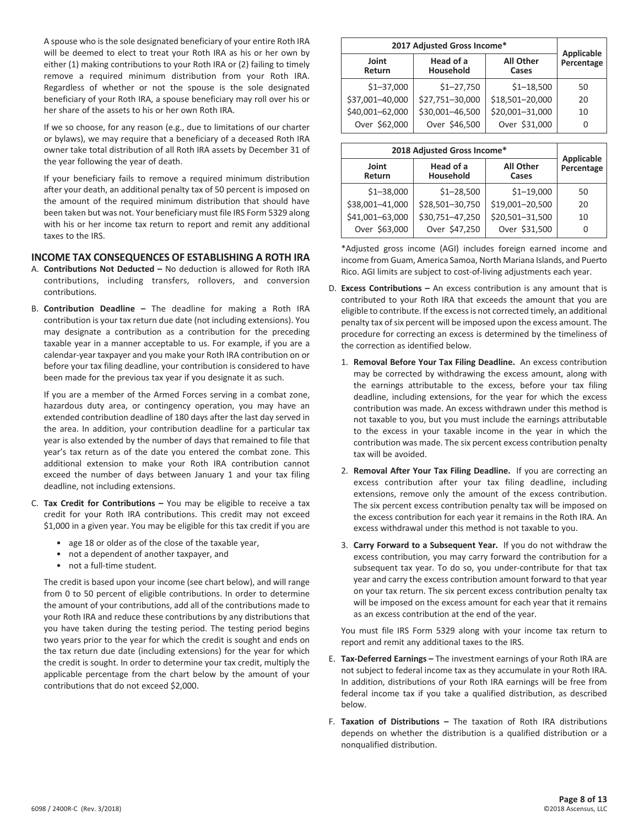A spouse who is the sole designated beneficiary of your entire Roth IRA will be deemed to elect to treat your Roth IRA as his or her own by either (1) making contributions to your Roth IRA or (2) failing to timely remove a required minimum distribution from your Roth IRA. Regardless of whether or not the spouse is the sole designated beneficiary of your Roth IRA, a spouse beneficiary may roll over his or her share of the assets to his or her own Roth IRA.

If we so choose, for any reason (e.g., due to limitations of our charter or bylaws), we may require that a beneficiary of a deceased Roth IRA owner take total distribution of all Roth IRA assets by December 31 of the year following the year of death.

If your beneficiary fails to remove a required minimum distribution after your death, an additional penalty tax of 50 percent is imposed on the amount of the required minimum distribution that should have been taken but was not. Your beneficiary must file IRS Form 5329 along with his or her income tax return to report and remit any additional taxes to the IRS.

#### **INCOME TAX CONSEQUENCES OF ESTABLISHING A ROTH IRA**

- A. **Contributions Not Deducted –** No deduction is allowed for Roth IRA contributions, including transfers, rollovers, and conversion contributions.
- B. **Contribution Deadline –** The deadline for making a Roth IRA contribution is your tax return due date (not including extensions). You may designate a contribution as a contribution for the preceding taxable year in a manner acceptable to us. For example, if you are a calendar-year taxpayer and you make your Roth IRA contribution on or before your tax filing deadline, your contribution is considered to have been made for the previous tax year if you designate it as such.

If you are a member of the Armed Forces serving in a combat zone, hazardous duty area, or contingency operation, you may have an extended contribution deadline of 180 days after the last day served in the area. In addition, your contribution deadline for a particular tax year is also extended by the number of days that remained to file that year's tax return as of the date you entered the combat zone. This additional extension to make your Roth IRA contribution cannot exceed the number of days between January 1 and your tax filing deadline, not including extensions.

- C. **Tax Credit for Contributions –** You may be eligible to receive a tax credit for your Roth IRA contributions. This credit may not exceed \$1,000 in a given year. You may be eligible for this tax credit if you are
	- age 18 or older as of the close of the taxable year,
	- not a dependent of another taxpayer, and
	- not a full-time student.

The credit is based upon your income (see chart below), and will range from 0 to 50 percent of eligible contributions. In order to determine the amount of your contributions, add all of the contributions made to your Roth IRA and reduce these contributions by any distributions that you have taken during the testing period. The testing period begins two years prior to the year for which the credit is sought and ends on the tax return due date (including extensions) for the year for which the credit is sought. In order to determine your tax credit, multiply the applicable percentage from the chart below by the amount of your contributions that do not exceed \$2,000.

|                 | 2017 Adjusted Gross Income* |                           |                                 |
|-----------------|-----------------------------|---------------------------|---------------------------------|
| Joint<br>Return | Head of a<br>Household      | <b>All Other</b><br>Cases | <b>Applicable</b><br>Percentage |
| $$1 - 37,000$   | $$1 - 27,750$               | $$1 - 18,500$             | 50                              |
| \$37,001-40,000 | \$27,751-30,000             | \$18,501-20,000           | 20                              |
| \$40,001-62,000 | \$30,001-46,500             | \$20,001-31,000           | 10                              |
| Over \$62,000   | Over \$46,500               | Over \$31,000             | 0                               |

| 2018 Adjusted Gross Income* |                        |                           | <b>Applicable</b> |  |
|-----------------------------|------------------------|---------------------------|-------------------|--|
| Joint<br>Return             | Head of a<br>Household | <b>All Other</b><br>Cases | Percentage        |  |
| $$1 - 38,000$               | $$1 - 28,500$          | $$1 - 19,000$             | 50                |  |
| \$38,001-41,000             | \$28,501-30,750        | \$19,001-20,500           | 20                |  |
| \$41,001-63,000             | \$30,751-47,250        | \$20,501-31,500           | 10                |  |
| Over \$63,000               | Over \$47,250          | Over \$31,500             | 0                 |  |

\*Adjusted gross income (AGI) includes foreign earned income and income from Guam, America Samoa, North Mariana Islands, and Puerto Rico. AGI limits are subject to cost-of-living adjustments each year.

- D. **Excess Contributions –** An excess contribution is any amount that is contributed to your Roth IRA that exceeds the amount that you are eligible to contribute. If the excess is not corrected timely, an additional penalty tax of six percent will be imposed upon the excess amount. The procedure for correcting an excess is determined by the timeliness of the correction as identified below.
	- 1. **Removal Before Your Tax Filing Deadline.** An excess contribution may be corrected by withdrawing the excess amount, along with the earnings attributable to the excess, before your tax filing deadline, including extensions, for the year for which the excess contribution was made. An excess withdrawn under this method is not taxable to you, but you must include the earnings attributable to the excess in your taxable income in the year in which the contribution was made. The six percent excess contribution penalty tax will be avoided.
	- 2. **Removal After Your Tax Filing Deadline.** If you are correcting an excess contribution after your tax filing deadline, including extensions, remove only the amount of the excess contribution. The six percent excess contribution penalty tax will be imposed on the excess contribution for each year it remains in the Roth IRA. An excess withdrawal under this method is not taxable to you.
	- 3. **Carry Forward to a Subsequent Year.** If you do not withdraw the excess contribution, you may carry forward the contribution for a subsequent tax year. To do so, you under-contribute for that tax year and carry the excess contribution amount forward to that year on your tax return. The six percent excess contribution penalty tax will be imposed on the excess amount for each year that it remains as an excess contribution at the end of the year.

You must file IRS Form 5329 along with your income tax return to report and remit any additional taxes to the IRS.

- E. **Tax-Deferred Earnings –** The investment earnings of your Roth IRA are not subject to federal income tax as they accumulate in your Roth IRA. In addition, distributions of your Roth IRA earnings will be free from federal income tax if you take a qualified distribution, as described below.
- F. **Taxation of Distributions –** The taxation of Roth IRA distributions depends on whether the distribution is a qualified distribution or a nonqualified distribution.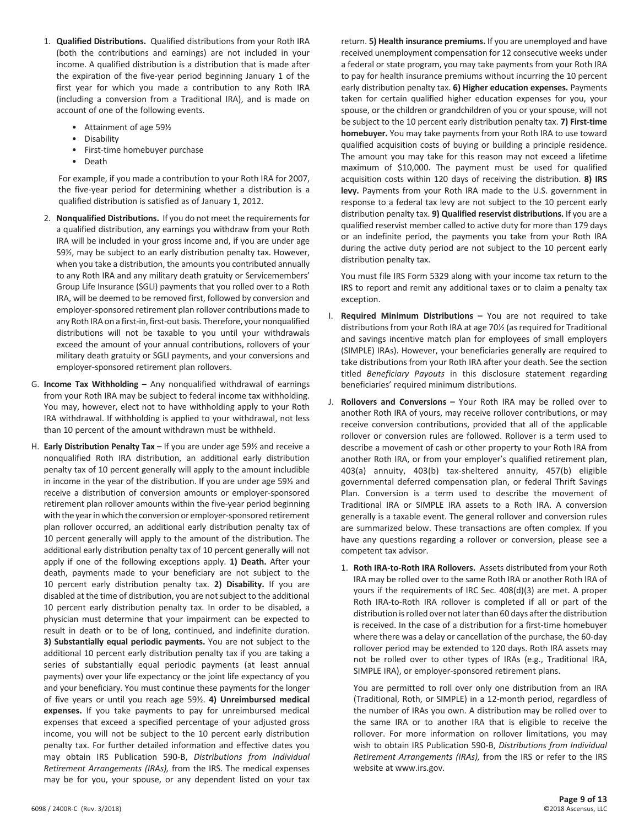- 1. **Qualified Distributions.** Qualified distributions from your Roth IRA (both the contributions and earnings) are not included in your income. A qualified distribution is a distribution that is made after the expiration of the five-year period beginning January 1 of the first year for which you made a contribution to any Roth IRA (including a conversion from a Traditional IRA), and is made on account of one of the following events.
	- Attainment of age 59½
	- Disability
	- First-time homebuyer purchase
	- Death

For example, if you made a contribution to your Roth IRA for 2007, the five-year period for determining whether a distribution is a qualified distribution is satisfied as of January 1, 2012.

- 2. **Nonqualified Distributions.** If you do not meet the requirements for a qualified distribution, any earnings you withdraw from your Roth IRA will be included in your gross income and, if you are under age 59½, may be subject to an early distribution penalty tax. However, when you take a distribution, the amounts you contributed annually to any Roth IRA and any military death gratuity or Servicemembers' Group Life Insurance (SGLI) payments that you rolled over to a Roth IRA, will be deemed to be removed first, followed by conversion and employer-sponsored retirement plan rollover contributions made to any Roth IRA on a first-in, first-out basis. Therefore, your nonqualified distributions will not be taxable to you until your withdrawals exceed the amount of your annual contributions, rollovers of your military death gratuity or SGLI payments, and your conversions and employer-sponsored retirement plan rollovers.
- G. **Income Tax Withholding –** Any nonqualified withdrawal of earnings from your Roth IRA may be subject to federal income tax withholding. You may, however, elect not to have withholding apply to your Roth IRA withdrawal. If withholding is applied to your withdrawal, not less than 10 percent of the amount withdrawn must be withheld.
- H. **Early Distribution Penalty Tax –** If you are under age 59½ and receive a nonqualified Roth IRA distribution, an additional early distribution penalty tax of 10 percent generally will apply to the amount includible in income in the year of the distribution. If you are under age 59½ and receive a distribution of conversion amounts or employer-sponsored retirement plan rollover amounts within the five-year period beginning with the year in which the conversion or employer-sponsored retirement plan rollover occurred, an additional early distribution penalty tax of 10 percent generally will apply to the amount of the distribution. The additional early distribution penalty tax of 10 percent generally will not apply if one of the following exceptions apply. **1) Death.** After your death, payments made to your beneficiary are not subject to the 10 percent early distribution penalty tax. **2) Disability.** If you are disabled at the time of distribution, you are not subject to the additional 10 percent early distribution penalty tax. In order to be disabled, a physician must determine that your impairment can be expected to result in death or to be of long, continued, and indefinite duration. **3) Substantially equal periodic payments.** You are not subject to the additional 10 percent early distribution penalty tax if you are taking a series of substantially equal periodic payments (at least annual payments) over your life expectancy or the joint life expectancy of you and your beneficiary. You must continue these payments for the longer of five years or until you reach age 59½. **4) Unreimbursed medical expenses.** If you take payments to pay for unreimbursed medical expenses that exceed a specified percentage of your adjusted gross income, you will not be subject to the 10 percent early distribution penalty tax. For further detailed information and effective dates you may obtain IRS Publication 590‑B, *Distributions from Individual Retirement Arrangements (IRAs),* from the IRS. The medical expenses may be for you, your spouse, or any dependent listed on your tax

return. **5) Health insurance premiums.** If you are unemployed and have received unemployment compensation for 12 consecutive weeks under a federal or state program, you may take payments from your Roth IRA to pay for health insurance premiums without incurring the 10 percent early distribution penalty tax. **6) Higher education expenses.** Payments taken for certain qualified higher education expenses for you, your spouse, or the children or grandchildren of you or your spouse, will not be subject to the 10 percent early distribution penalty tax. **7) First-time homebuyer.** You may take payments from your Roth IRA to use toward qualified acquisition costs of buying or building a principle residence. The amount you may take for this reason may not exceed a lifetime maximum of \$10,000. The payment must be used for qualified acquisition costs within 120 days of receiving the distribution. **8) IRS levy.** Payments from your Roth IRA made to the U.S. government in response to a federal tax levy are not subject to the 10 percent early distribution penalty tax. **9) Qualified reservist distributions.** If you are a qualified reservist member called to active duty for more than 179 days or an indefinite period, the payments you take from your Roth IRA during the active duty period are not subject to the 10 percent early distribution penalty tax.

You must file IRS Form 5329 along with your income tax return to the IRS to report and remit any additional taxes or to claim a penalty tax exception.

- I. **Required Minimum Distributions –** You are not required to take distributions from your Roth IRA at age 70½ (as required for Traditional and savings incentive match plan for employees of small employers (SIMPLE) IRAs). However, your beneficiaries generally are required to take distributions from your Roth IRA after your death. See the section titled *Beneficiary Payouts* in this disclosure statement regarding beneficiaries' required minimum distributions.
- J. **Rollovers and Conversions –** Your Roth IRA may be rolled over to another Roth IRA of yours, may receive rollover contributions, or may receive conversion contributions, provided that all of the applicable rollover or conversion rules are followed. Rollover is a term used to describe a movement of cash or other property to your Roth IRA from another Roth IRA, or from your employer's qualified retirement plan, 403(a) annuity, 403(b) tax-sheltered annuity, 457(b) eligible governmental deferred compensation plan, or federal Thrift Savings Plan. Conversion is a term used to describe the movement of Traditional IRA or SIMPLE IRA assets to a Roth IRA. A conversion generally is a taxable event. The general rollover and conversion rules are summarized below. These transactions are often complex. If you have any questions regarding a rollover or conversion, please see a competent tax advisor.
	- 1. **Roth IRA-to-Roth IRA Rollovers.** Assets distributed from your Roth IRA may be rolled over to the same Roth IRA or another Roth IRA of yours if the requirements of IRC Sec. 408(d)(3) are met. A proper Roth IRA-to-Roth IRA rollover is completed if all or part of the distribution is rolled over not later than 60 days after the distribution is received. In the case of a distribution for a first-time homebuyer where there was a delay or cancellation of the purchase, the 60‑day rollover period may be extended to 120 days. Roth IRA assets may not be rolled over to other types of IRAs (e.g., Traditional IRA, SIMPLE IRA), or employer‐sponsored retirement plans.

You are permitted to roll over only one distribution from an IRA (Traditional, Roth, or SIMPLE) in a 12‐month period, regardless of the number of IRAs you own. A distribution may be rolled over to the same IRA or to another IRA that is eligible to receive the rollover. For more information on rollover limitations, you may wish to obtain IRS Publication 590‑B, *Distributions from Individual Retirement Arrangements (IRAs),* from the IRS or refer to the IRS website at www.irs.gov.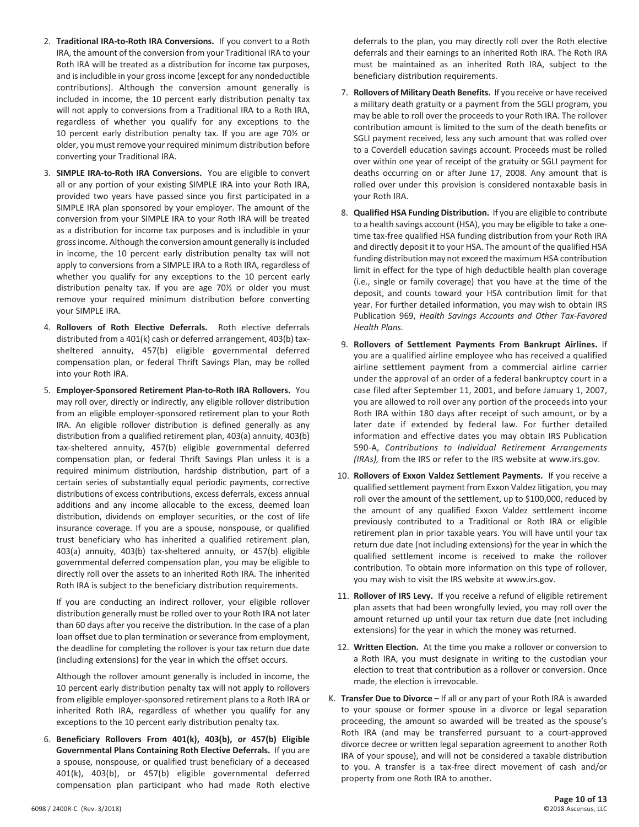- 2. **Traditional IRA-to-Roth IRA Conversions.** If you convert to a Roth IRA, the amount of the conversion from your Traditional IRA to your Roth IRA will be treated as a distribution for income tax purposes, and is includible in your gross income (except for any nondeductible contributions). Although the conversion amount generally is included in income, the 10 percent early distribution penalty tax will not apply to conversions from a Traditional IRA to a Roth IRA, regardless of whether you qualify for any exceptions to the 10 percent early distribution penalty tax. If you are age 70½ or older, you must remove your required minimum distribution before converting your Traditional IRA.
- 3. **SIMPLE IRA-to-Roth IRA Conversions.** You are eligible to convert all or any portion of your existing SIMPLE IRA into your Roth IRA, provided two years have passed since you first participated in a SIMPLE IRA plan sponsored by your employer. The amount of the conversion from your SIMPLE IRA to your Roth IRA will be treated as a distribution for income tax purposes and is includible in your gross income. Although the conversion amount generally is included in income, the 10 percent early distribution penalty tax will not apply to conversions from a SIMPLE IRA to a Roth IRA, regardless of whether you qualify for any exceptions to the 10 percent early distribution penalty tax. If you are age 70½ or older you must remove your required minimum distribution before converting your SIMPLE IRA.
- 4. **Rollovers of Roth Elective Deferrals.** Roth elective deferrals distributed from a 401(k) cash or deferred arrangement, 403(b) taxsheltered annuity, 457(b) eligible governmental deferred compensation plan, or federal Thrift Savings Plan, may be rolled into your Roth IRA.
- 5. **Employer-Sponsored Retirement Plan-to-Roth IRA Rollovers.** You may roll over, directly or indirectly, any eligible rollover distribution from an eligible employer-sponsored retirement plan to your Roth IRA. An eligible rollover distribution is defined generally as any distribution from a qualified retirement plan, 403(a) annuity, 403(b) tax-sheltered annuity, 457(b) eligible governmental deferred compensation plan, or federal Thrift Savings Plan unless it is a required minimum distribution, hardship distribution, part of a certain series of substantially equal periodic payments, corrective distributions of excess contributions, excess deferrals, excess annual additions and any income allocable to the excess, deemed loan distribution, dividends on employer securities, or the cost of life insurance coverage. If you are a spouse, nonspouse, or qualified trust beneficiary who has inherited a qualified retirement plan, 403(a) annuity, 403(b) tax-sheltered annuity, or 457(b) eligible governmental deferred compensation plan, you may be eligible to directly roll over the assets to an inherited Roth IRA. The inherited Roth IRA is subject to the beneficiary distribution requirements.

If you are conducting an indirect rollover, your eligible rollover distribution generally must be rolled over to your Roth IRA not later than 60 days after you receive the distribution. In the case of a plan loan offset due to plan termination or severance from employment, the deadline for completing the rollover is your tax return due date (including extensions) for the year in which the offset occurs.

Although the rollover amount generally is included in income, the 10 percent early distribution penalty tax will not apply to rollovers from eligible employer-sponsored retirement plans to a Roth IRA or inherited Roth IRA, regardless of whether you qualify for any exceptions to the 10 percent early distribution penalty tax.

6. **Beneficiary Rollovers From 401(k), 403(b), or 457(b) Eligible Governmental Plans Containing Roth Elective Deferrals.** If you are a spouse, nonspouse, or qualified trust beneficiary of a deceased 401(k), 403(b), or 457(b) eligible governmental deferred compensation plan participant who had made Roth elective

deferrals to the plan, you may directly roll over the Roth elective deferrals and their earnings to an inherited Roth IRA. The Roth IRA must be maintained as an inherited Roth IRA, subject to the beneficiary distribution requirements.

- 7. **Rollovers of Military Death Benefits.** If you receive or have received a military death gratuity or a payment from the SGLI program, you may be able to roll over the proceeds to your Roth IRA. The rollover contribution amount is limited to the sum of the death benefits or SGLI payment received, less any such amount that was rolled over to a Coverdell education savings account. Proceeds must be rolled over within one year of receipt of the gratuity or SGLI payment for deaths occurring on or after June 17, 2008. Any amount that is rolled over under this provision is considered nontaxable basis in your Roth IRA.
- 8. **Qualified HSA Funding Distribution.** If you are eligible to contribute to a health savings account (HSA), you may be eligible to take a onetime tax-free qualified HSA funding distribution from your Roth IRA and directly deposit it to your HSA. The amount of the qualified HSA funding distribution may not exceed the maximum HSA contribution limit in effect for the type of high deductible health plan coverage (i.e., single or family coverage) that you have at the time of the deposit, and counts toward your HSA contribution limit for that year. For further detailed information, you may wish to obtain IRS Publication 969, *Health Savings Accounts and Other Tax-Favored Health Plans.*
- 9. **Rollovers of Settlement Payments From Bankrupt Airlines.** If you are a qualified airline employee who has received a qualified airline settlement payment from a commercial airline carrier under the approval of an order of a federal bankruptcy court in a case filed after September 11, 2001, and before January 1, 2007, you are allowed to roll over any portion of the proceeds into your Roth IRA within 180 days after receipt of such amount, or by a later date if extended by federal law. For further detailed information and effective dates you may obtain IRS Publication 590‑A, *Contributions to Individual Retirement Arrangements (IRAs),* from the IRS or refer to the IRS website at www.irs.gov.
- 10. **Rollovers of Exxon Valdez Settlement Payments.** If you receive a qualified settlement payment from Exxon Valdez litigation, you may roll over the amount of the settlement, up to \$100,000, reduced by the amount of any qualified Exxon Valdez settlement income previously contributed to a Traditional or Roth IRA or eligible retirement plan in prior taxable years. You will have until your tax return due date (not including extensions) for the year in which the qualified settlement income is received to make the rollover contribution. To obtain more information on this type of rollover, you may wish to visit the IRS website at www.irs.gov.
- 11. **Rollover of IRS Levy.** If you receive a refund of eligible retirement plan assets that had been wrongfully levied, you may roll over the amount returned up until your tax return due date (not including extensions) for the year in which the money was returned.
- 12. **Written Election.** At the time you make a rollover or conversion to a Roth IRA, you must designate in writing to the custodian your election to treat that contribution as a rollover or conversion. Once made, the election is irrevocable.
- K. **Transfer Due to Divorce –** If all or any part of your Roth IRA is awarded to your spouse or former spouse in a divorce or legal separation proceeding, the amount so awarded will be treated as the spouse's Roth IRA (and may be transferred pursuant to a court-approved divorce decree or written legal separation agreement to another Roth IRA of your spouse), and will not be considered a taxable distribution to you. A transfer is a tax-free direct movement of cash and/or property from one Roth IRA to another.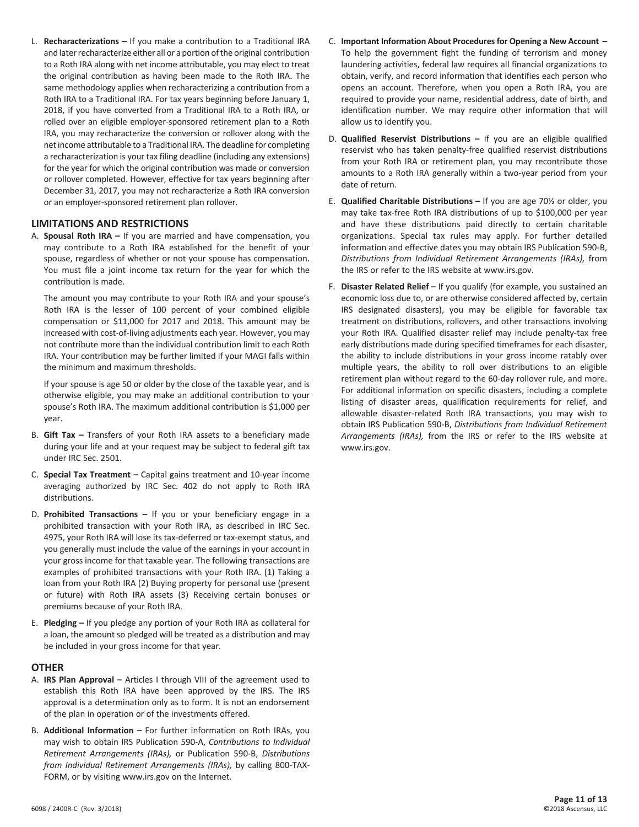L. **Recharacterizations –** If you make a contribution to a Traditional IRA and later recharacterize either all or a portion of the original contribution to a Roth IRA along with net income attributable, you may elect to treat the original contribution as having been made to the Roth IRA. The same methodology applies when recharacterizing a contribution from a Roth IRA to a Traditional IRA. For tax years beginning before January 1, 2018, if you have converted from a Traditional IRA to a Roth IRA, or rolled over an eligible employer-sponsored retirement plan to a Roth IRA, you may recharacterize the conversion or rollover along with the net income attributable to a Traditional IRA. The deadline for completing a recharacterization is your tax filing deadline (including any extensions) for the year for which the original contribution was made or conversion or rollover completed. However, effective for tax years beginning after December 31, 2017, you may not recharacterize a Roth IRA conversion or an employer-sponsored retirement plan rollover.

#### **LIMITATIONS AND RESTRICTIONS**

A. **Spousal Roth IRA –** If you are married and have compensation, you may contribute to a Roth IRA established for the benefit of your spouse, regardless of whether or not your spouse has compensation. You must file a joint income tax return for the year for which the contribution is made.

The amount you may contribute to your Roth IRA and your spouse's Roth IRA is the lesser of 100 percent of your combined eligible compensation or \$11,000 for 2017 and 2018. This amount may be increased with cost-of-living adjustments each year. However, you may not contribute more than the individual contribution limit to each Roth IRA. Your contribution may be further limited if your MAGI falls within the minimum and maximum thresholds.

If your spouse is age 50 or older by the close of the taxable year, and is otherwise eligible, you may make an additional contribution to your spouse's Roth IRA. The maximum additional contribution is \$1,000 per year.

- B. **Gift Tax –** Transfers of your Roth IRA assets to a beneficiary made during your life and at your request may be subject to federal gift tax under IRC Sec. 2501.
- C. **Special Tax Treatment –** Capital gains treatment and 10‑year income averaging authorized by IRC Sec. 402 do not apply to Roth IRA distributions.
- D. **Prohibited Transactions –** If you or your beneficiary engage in a prohibited transaction with your Roth IRA, as described in IRC Sec. 4975, your Roth IRA will lose its tax-deferred or tax-exempt status, and you generally must include the value of the earnings in your account in your gross income for that taxable year. The following transactions are examples of prohibited transactions with your Roth IRA. (1) Taking a loan from your Roth IRA (2) Buying property for personal use (present or future) with Roth IRA assets (3) Receiving certain bonuses or premiums because of your Roth IRA.
- E. **Pledging –** If you pledge any portion of your Roth IRA as collateral for a loan, the amount so pledged will be treated as a distribution and may be included in your gross income for that year.

#### **OTHER**

- A. **IRS Plan Approval –** Articles I through VIII of the agreement used to establish this Roth IRA have been approved by the IRS. The IRS approval is a determination only as to form. It is not an endorsement of the plan in operation or of the investments offered.
- B. **Additional Information –** For further information on Roth IRAs, you may wish to obtain IRS Publication 590‑A, *Contributions to Individual Retirement Arrangements (IRAs),* or Publication 590‑B, *Distributions from Individual Retirement Arrangements (IRAs),* by calling 800-TAX-FORM, or by visiting www.irs.gov on the Internet.
- C. **Important Information About Procedures for Opening a New Account –** To help the government fight the funding of terrorism and money laundering activities, federal law requires all financial organizations to obtain, verify, and record information that identifies each person who opens an account. Therefore, when you open a Roth IRA, you are required to provide your name, residential address, date of birth, and identification number. We may require other information that will allow us to identify you.
- D. **Qualified Reservist Distributions –** If you are an eligible qualified reservist who has taken penalty-free qualified reservist distributions from your Roth IRA or retirement plan, you may recontribute those amounts to a Roth IRA generally within a two-year period from your date of return.
- E. **Qualified Charitable Distributions –** If you are age 70½ or older, you may take tax-free Roth IRA distributions of up to \$100,000 per year and have these distributions paid directly to certain charitable organizations. Special tax rules may apply. For further detailed information and effective dates you may obtain IRS Publication 590‑B, *Distributions from Individual Retirement Arrangements (IRAs),* from the IRS or refer to the IRS website at www.irs.gov.
- F. **Disaster Related Relief –** If you qualify (for example, you sustained an economic loss due to, or are otherwise considered affected by, certain IRS designated disasters), you may be eligible for favorable tax treatment on distributions, rollovers, and other transactions involving your Roth IRA. Qualified disaster relief may include penalty-tax free early distributions made during specified timeframes for each disaster, the ability to include distributions in your gross income ratably over multiple years, the ability to roll over distributions to an eligible retirement plan without regard to the 60-day rollover rule, and more. For additional information on specific disasters, including a complete listing of disaster areas, qualification requirements for relief, and allowable disaster-related Roth IRA transactions, you may wish to obtain IRS Publication 590‑B, *Distributions from Individual Retirement Arrangements (IRAs),* from the IRS or refer to the IRS website at www.irs.gov.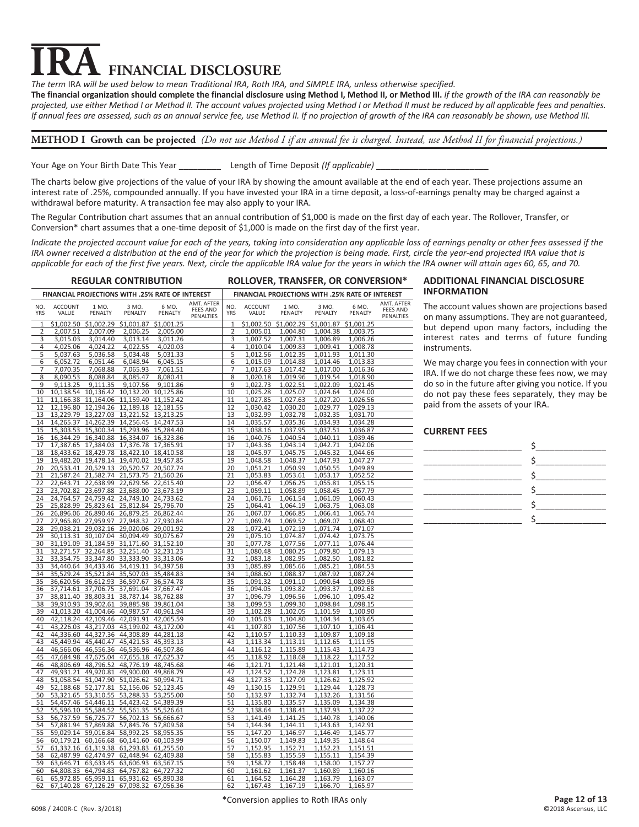# **TRA** FINANCIAL DISCLOSURE<br>The term IRA will be used below to mean Traditional IRA, Roth IRA, and SIMPLE IRA, unless otherwise specified. **FINANCIAL DISCLOSURE**

The financial organization should complete the financial disclosure using Method I, Method II, or Method III. *If the growth of the IRA can reasonably be projected, use either Method I or Method II. The account values projected using Method I or Method II must be reduced by all applicable fees and penalties. If annual fees are assessed, such as an annual service fee, use Method II. If no projection of growth of the IRA can reasonably be shown, use Method III.*

#### **METHOD I Growth can be projected** *(Do not use Method I if an annual fee is charged. Instead, use Method II for financial projections.)*

Your Age on Your Birth Date This Year **Length of Time Deposit (If applicable)** 

The charts below give projections of the value of your IRA by showing the amount available at the end of each year. These projections assume an interest rate of .25%, compounded annually. If you have invested your IRA in a time deposit, a loss-of-earnings penalty may be charged against a withdrawal before maturity. A transaction fee may also apply to your IRA.

The Regular Contribution chart assumes that an annual contribution of \$1,000 is made on the first day of each year. The Rollover, Transfer, or Conversion\* chart assumes that a one-time deposit of \$1,000 is made on the first day of the first year.

*Indicate the projected account value for each of the years, taking into consideration any applicable loss of earnings penalty or other fees assessed if the IRA owner received a distribution at the end of the year for which the projection is being made. First, circle the year-end projected IRA value that is applicable for each of the first five years. Next, circle the applicable IRA value for the years in which the IRA owner will attain ages 60, 65, and 70.* 

| <b>REGULAR CONTRIBUTION</b>                                                                                   | ROLLOVER, TRANSFER, OR CONVERSION*                                                                       |
|---------------------------------------------------------------------------------------------------------------|----------------------------------------------------------------------------------------------------------|
| FINANCIAL PROJECTIONS WITH .25% RATE OF INTEREST                                                              | FINANCIAL PROJECTIONS WITH .25% RATE OF INTEREST                                                         |
| AMT. AFTER                                                                                                    | AMT. AFTER                                                                                               |
| NO.                                                                                                           | NO.                                                                                                      |
| <b>ACCOUNT</b>                                                                                                | <b>ACCOUNT</b>                                                                                           |
| 1 M <sub>O</sub>                                                                                              | 6 MO.                                                                                                    |
| 3 MO                                                                                                          | 1 M <sub>O</sub>                                                                                         |
| 6 MO                                                                                                          | OM F                                                                                                     |
| <b>FEES AND</b>                                                                                               | <b>FEES AND</b>                                                                                          |
| <b>YRS</b>                                                                                                    | VALUE                                                                                                    |
| PENALTY                                                                                                       | PENALTY                                                                                                  |
| VALUE                                                                                                         | <b>YRS</b>                                                                                               |
| PENALTY                                                                                                       | PENALTY                                                                                                  |
| PENALTY                                                                                                       | PENALTY                                                                                                  |
| PENALTIES                                                                                                     | PENALTIES                                                                                                |
| $\overline{1}$                                                                                                | \$1,002.50                                                                                               |
| \$1,002.50                                                                                                    | \$1,002.29                                                                                               |
| \$1,002.29                                                                                                    | 1                                                                                                        |
| \$1,001.87                                                                                                    | \$1,001.87                                                                                               |
| \$1,001.25                                                                                                    | \$1,001.25                                                                                               |
| 2                                                                                                             | 2                                                                                                        |
| 2.007.51                                                                                                      | 1,005.01                                                                                                 |
| 2,007.09                                                                                                      | 1,004.80                                                                                                 |
| 2,006.25                                                                                                      | 1,004.38                                                                                                 |
| 2,005.00                                                                                                      | 1,003.75                                                                                                 |
| 3                                                                                                             | 3                                                                                                        |
| 3,015.03                                                                                                      | 1,007.52                                                                                                 |
| 3,014.40                                                                                                      | 1,007.31                                                                                                 |
| 3,013.14                                                                                                      | 1,006.89                                                                                                 |
| 3,011.26                                                                                                      | 1,006.26                                                                                                 |
| 4                                                                                                             | 4                                                                                                        |
| 4,025.06                                                                                                      | 1,010.04                                                                                                 |
| 4,024.22                                                                                                      | 1,009.83                                                                                                 |
| 4,022.55                                                                                                      | 1,009.41                                                                                                 |
| 4,020.03                                                                                                      | 1,008.78                                                                                                 |
| 5                                                                                                             | 5                                                                                                        |
| 5,037.63                                                                                                      | 1,012.56                                                                                                 |
| 5,036.58                                                                                                      | 1,012.35                                                                                                 |
| 5,034.48                                                                                                      | 1,011.93                                                                                                 |
| 5,031.33                                                                                                      | 1,011.30                                                                                                 |
| 6                                                                                                             | 6                                                                                                        |
| 6,052.72                                                                                                      | 1,015.09                                                                                                 |
| 6,051.46                                                                                                      | 1,014.88                                                                                                 |
| 6,048.94                                                                                                      | 1,014.46                                                                                                 |
| 6,045.15                                                                                                      | 1,013.83                                                                                                 |
| 7                                                                                                             | 1,017.42                                                                                                 |
| 7,070.35                                                                                                      | 1,017.00                                                                                                 |
| 7,065.93                                                                                                      | 7                                                                                                        |
| 7,068.88                                                                                                      | 1,017.63                                                                                                 |
| 7,061.51                                                                                                      | 1,016.36                                                                                                 |
| 8                                                                                                             | 8                                                                                                        |
| 8,090.53                                                                                                      | 1,020.18                                                                                                 |
| 8,088.84                                                                                                      | 1,019.96                                                                                                 |
| 8,085.47                                                                                                      | 1,019.54                                                                                                 |
| 8,080.41                                                                                                      | 1,018.90                                                                                                 |
| 9                                                                                                             | 9                                                                                                        |
| 9,113.25                                                                                                      | 1,022.73                                                                                                 |
| 9,111.35                                                                                                      | 1,022.51                                                                                                 |
| 9,107.56                                                                                                      | 1,022.09                                                                                                 |
| 9,101.86                                                                                                      | 1,021.45                                                                                                 |
| 10                                                                                                            | 10                                                                                                       |
| 10,138.54                                                                                                     | 1,025.28                                                                                                 |
| 10,136.42                                                                                                     | 1,025.07                                                                                                 |
| 10,132.20                                                                                                     | 1,024.64                                                                                                 |
| 10,125.86                                                                                                     | 1,024.00                                                                                                 |
| 11                                                                                                            | 11                                                                                                       |
| 11,166.38                                                                                                     | 1,027.85                                                                                                 |
| 11,164.06                                                                                                     | 1,027.63                                                                                                 |
| 11,159.40                                                                                                     | 1,027.20                                                                                                 |
| 11,152.42                                                                                                     | 1,026.56                                                                                                 |
| 12<br>12,196.80<br>12,194.26<br>12,189.18 12,181.55<br>13<br>13,229.79<br>13,227.03<br>13,221.52<br>13.213.25 | 12<br>1,030.42<br>1,030.20<br>1,029.77<br>1,029.13<br>13<br>1,032.99<br>1,032.78<br>1,032.35<br>1.031.70 |
| 14                                                                                                            | 14                                                                                                       |
| 14,265.37                                                                                                     | 1,035.57                                                                                                 |
| 14,262.39                                                                                                     | 1,035.36                                                                                                 |
| 14,256.45                                                                                                     | 1,034.93                                                                                                 |
| 14,247.53                                                                                                     | 1,034.28                                                                                                 |
| 15                                                                                                            | 15                                                                                                       |
| 15,303.53                                                                                                     | 1,037.95                                                                                                 |
| 15,300.34                                                                                                     | 1,038.16                                                                                                 |
| 15,293.96                                                                                                     | 1,037.51                                                                                                 |
| 15,284.40                                                                                                     | 1,036.87                                                                                                 |
| 16<br>16,344.29 16,340.88<br>16,334.07 16,323.86                                                              | 16<br>1,040.76<br>1,040.54<br>1,040.11<br>1,039.46                                                       |
| 17<br>17,387.65 17,384.03<br>17,376.78 17,365.91<br>18<br>18,433.62 18,429.78<br>18,422.10 18,410.58          | 17<br>1,043.36<br>1,043.14<br>1,042.71<br>1,042.06<br>18<br>1,045.97<br>1,045.75<br>1,045.32<br>1,044.66 |
| 19<br>19,482.20 19,478.14<br>19,470.02 19,457.85                                                              | 19<br>1,048.58<br>1,048.37<br>1,047.93<br>1,047.27                                                       |
| 20                                                                                                            | 20                                                                                                       |
| 20,529.13                                                                                                     | 1,051.21                                                                                                 |
| 20,520.57                                                                                                     | 1,050.99                                                                                                 |
| 20,507.74                                                                                                     | 1,050.55                                                                                                 |
| 20,533.41                                                                                                     | 1,049.89                                                                                                 |
| 21<br>21,587.24 21,582.74<br>21,573.75<br>21,560.26                                                           | 21<br>1,053.83<br>1,053.61<br>1,053.17<br>1,052.52                                                       |
| 22<br>22,643.71 22,638.99<br>22,629.56 22,615.40<br>23<br>23,702.82 23,697.88<br>23,688.00 23,673.19          | 22<br>1,056.25<br>1,055.81<br>1,056.47<br>1,055.15<br>23<br>1,059.11<br>1,058.89<br>1,058.45<br>1,057.79 |
| 24                                                                                                            | 24                                                                                                       |
| 24,764.57                                                                                                     | 1,061.76                                                                                                 |
| 24,759.42                                                                                                     | 1,061.54                                                                                                 |
| 24,749.10                                                                                                     | 1,061.09                                                                                                 |
| 24,733.62                                                                                                     | 1,060.43                                                                                                 |
| 25                                                                                                            | 25                                                                                                       |
| 25,828.99                                                                                                     | 1,064.41                                                                                                 |
| 25,812.84                                                                                                     | 1,064.19                                                                                                 |
| 25,796.70                                                                                                     | 1,063.75                                                                                                 |
| 25,823.61                                                                                                     | 1,063.08                                                                                                 |
| 26<br>26,896.06 26,890.46<br>26,879.25<br>26,862.44                                                           | 26<br>1,067.07<br>1,066.85<br>1,066.41<br>1,065.74                                                       |
| 27<br>27,965.80 27,959.97<br>27,948.32 27,930.84<br>28<br>29,038.21 29,032.16 29,020.06 29,001.92             | 27<br>1,069.74<br>1,069.52<br>1,069.07<br>1,068.40<br>28<br>1,072.41<br>1,072.19<br>1,071.74<br>1,071.07 |
| 29<br>30,107.04<br>30,094.49 30,075.67<br>30,113.31                                                           | 29<br>1,075.10<br>1,074.87<br>1,074.42<br>1,073.75                                                       |
| 30                                                                                                            | 30                                                                                                       |
| 31,184.59                                                                                                     | 1,077.78                                                                                                 |
| 31,171.60                                                                                                     | 1,077.56                                                                                                 |
| 31,152.10                                                                                                     | 1,077.11                                                                                                 |
| 31,191.09                                                                                                     | 1,076.44                                                                                                 |
| 31                                                                                                            | 31                                                                                                       |
| 32,271.57                                                                                                     | 1,080.48                                                                                                 |
| 32,264.85                                                                                                     | 1,080.25                                                                                                 |
| 32,251.40                                                                                                     | 1,079.80                                                                                                 |
| 32,231.23                                                                                                     | 1,079.13                                                                                                 |
| 32<br>33,354.75<br>33,347.80<br>33,333.90 33,313.06<br>34,440.64<br>33<br>34,433.46<br>34,419.11<br>34,397.58 | 32<br>1,083.18<br>1,082.95<br>1,082.50<br>1,081.82<br>33<br>1,085.66<br>1,085.89<br>1,085.21<br>1,084.53 |
| 34                                                                                                            | 34                                                                                                       |
| 35.529.24                                                                                                     | 1,088.60                                                                                                 |
| 35,521.84                                                                                                     | 1,088.37                                                                                                 |
| 35,507.03                                                                                                     | 1,087.92                                                                                                 |
| 35.484.83                                                                                                     | 1.087.24                                                                                                 |
| 35                                                                                                            | 35                                                                                                       |
| 36,612.93                                                                                                     | 1,091.32                                                                                                 |
| 36,597.67                                                                                                     | 1,091.10                                                                                                 |
| 36,574.78                                                                                                     | 1,090.64                                                                                                 |
| 36,620.56                                                                                                     | 1,089.96                                                                                                 |
| 36                                                                                                            | 36                                                                                                       |
| 37,714.61                                                                                                     | 1,093.82                                                                                                 |
| 37,706.75                                                                                                     | 1,094.05                                                                                                 |
| 37,691.04                                                                                                     | 1,093.37                                                                                                 |
| 37,667.47                                                                                                     | 1,092.68                                                                                                 |
| 38,787.14<br>37<br>38,811.40<br>38,803.31<br>38,762.88<br>38<br>39,910.93 39,902.61<br>39,885.98 39,861.04    | 37<br>1,096.79<br>1,096.56<br>1,096.10<br>1,095.42<br>38<br>1,099.53<br>1,099.30<br>1,098.84<br>1,098.15 |
| 39<br>41,013.20 41,004.66<br>40,987.57 40,961.94                                                              | 39<br>1,102.28<br>1,102.05<br>1,101.59<br>1,100.90                                                       |
| 40                                                                                                            | 40                                                                                                       |
| 42,118.24                                                                                                     | 1,105.03                                                                                                 |
| 42,109.46                                                                                                     | 1,104.80                                                                                                 |
| 42,091.91                                                                                                     | 1,104.34                                                                                                 |
| 42,065.59                                                                                                     | 1,103.65                                                                                                 |
| 41                                                                                                            | 41                                                                                                       |
| 43,217.03                                                                                                     | 1,107.56                                                                                                 |
| 43,199.02                                                                                                     | 1,107.80                                                                                                 |
| 43,226.03                                                                                                     | 1,107.10                                                                                                 |
| 43,172.00                                                                                                     | 1,106.41                                                                                                 |
| 42<br>44,336.60 44,327.36<br>44,308.89 44,281.18<br>43<br>45,449.94<br>45,440.47<br>45,421.53 45,393.13       | 42<br>1,110.57<br>1,110.33<br>1,109.87<br>1,109.18<br>43<br>1,113.34<br>1,113.11<br>1,112.65<br>1,111.95 |
| 44                                                                                                            | 44                                                                                                       |
| 46,566.06                                                                                                     | 1,116.12                                                                                                 |
| 46,556.36                                                                                                     | 1,115.89                                                                                                 |
| 46,536.96                                                                                                     | 1,115.43                                                                                                 |
| 46,507.86                                                                                                     | 1,114.73                                                                                                 |
| 45<br>47,675.04<br>47,655.18 47,625.37<br>47,684.98                                                           | 45<br>1,118.92<br>1,118.68<br>1,118.22<br>1,117.52                                                       |
| 46                                                                                                            | 1,121.71                                                                                                 |
| 48,806.69                                                                                                     | 46                                                                                                       |
| 48,796.52                                                                                                     | 1,121.48                                                                                                 |
| 48,776.19                                                                                                     | 1,121.01                                                                                                 |
| 48,745.68                                                                                                     | 1,120.31                                                                                                 |
| 47<br>49,931.21<br>49,920.81<br>49,900.00 49,868.79<br>48<br>51,058.54 51,047.90<br>51,026.62 50,994.71       | 47<br>1,124.52<br>1,124.28<br>1,123.81<br>1,123.11<br>48<br>1,127.33<br>1,127.09<br>1,126.62<br>1,125.92 |
| 49<br>52,188.68 52,177.81<br>52,156.06 52,123.45                                                              | 49<br>1,130.15<br>1,129.91<br>1,129.44<br>1,128.73                                                       |
| 50<br>53,321.65 53,310.55<br>53,288.33 53,255.00                                                              | 50<br>1,132.97<br>1,132.74<br>1,132.26<br>1,131.56                                                       |
| 51                                                                                                            | 51                                                                                                       |
| 54,457.46                                                                                                     | 1,135.80                                                                                                 |
| 54,446.11                                                                                                     | 1,135.57                                                                                                 |
| 54,423.42                                                                                                     | 1,135.09                                                                                                 |
| 54,389.39                                                                                                     | 1,134.38                                                                                                 |
| 52                                                                                                            | 52                                                                                                       |
| 55,596.10                                                                                                     | 1,138.64                                                                                                 |
| 55,584.52                                                                                                     | 1,138.41                                                                                                 |
| 55,561.35                                                                                                     | 1,137.93                                                                                                 |
| 55,526.61                                                                                                     | 1,137.22                                                                                                 |
| 53                                                                                                            | 53                                                                                                       |
| 56,737.59                                                                                                     | 1,141.49                                                                                                 |
| 56,725.77                                                                                                     | 1,141.25                                                                                                 |
| 56,702.13                                                                                                     | 1,140.78                                                                                                 |
| 56,666.67                                                                                                     | 1,140.06                                                                                                 |
| 54<br>57,881.94<br>57,869.88<br>57,845.76 57,809.58                                                           | 54<br>1,144.34<br>1,144.11<br>1,143.63<br>1,142.91                                                       |
| 55                                                                                                            | 55                                                                                                       |
| 59.029.14                                                                                                     | 1,147.20                                                                                                 |
| 59,016.84                                                                                                     | 1,146.97                                                                                                 |
| 58,992.25                                                                                                     | 1,146.49                                                                                                 |
| 58,955.35                                                                                                     | 1.145.77                                                                                                 |
| 56<br>60,179.21<br>60,166.68<br>60,141.60 60,103.99<br>57                                                     | 56<br>1,150.07<br>1,149.83<br>1,149.35<br>1,148.64<br>57                                                 |
| 61,332.16<br>61,319.38<br>61,293.83<br>61,255.50<br>58<br>62,487.99 62,474.97<br>62,448.94 62,409.88          | 1,152.95<br>1,152.71<br>1,152.23<br>1,151.51<br>58<br>1,155.83<br>1,155.59<br>1,155.11<br>1,154.39       |
| 59<br>63,646.71 63,633.45<br>63,606.93 63,567.15                                                              | 59<br>1,158.72<br>1,157.27<br>1,158.48<br>1,158.00                                                       |
| 60<br>64,808.33 64,794.83<br>64,767.82 64,727.32                                                              | 60<br>1,161.62<br>1,161.37<br>1,160.89<br>1,160.16                                                       |
| 65,972.85 65,959.11<br>65,931.62 65,890.38<br>61<br>62                                                        | 61<br>1,164.52<br>1,164.28<br>1,163.79<br>1,163.07<br>62<br>1,167.19<br>1,166.70                         |
| 67,140.28 67,126.29 67,098.32                                                                                 | 1,167.43                                                                                                 |
| 67,056.36                                                                                                     | 1,165.97                                                                                                 |

#### **ADDITIONAL FINANCIAL DISCLOSURE INFORMATION**

The account values shown are projections based on many assumptions. They are not guaranteed, but depend upon many factors, including the interest rates and terms of future funding instruments.

We may charge you fees in connection with your IRA. If we do not charge these fees now, we may do so in the future after giving you notice. If you do not pay these fees separately, they may be paid from the assets of your IRA.

#### **CURRENT FEES**

| $\overline{\phantom{a}}$                                                                                                                                                                                                                                                                                  |
|-----------------------------------------------------------------------------------------------------------------------------------------------------------------------------------------------------------------------------------------------------------------------------------------------------------|
| $\frac{1}{2}$ , $\frac{1}{2}$ , $\frac{1}{2}$ , $\frac{1}{2}$ , $\frac{1}{2}$ , $\frac{1}{2}$ , $\frac{1}{2}$ , $\frac{1}{2}$ , $\frac{1}{2}$ , $\frac{1}{2}$ , $\frac{1}{2}$ , $\frac{1}{2}$ , $\frac{1}{2}$ , $\frac{1}{2}$ , $\frac{1}{2}$ , $\frac{1}{2}$ , $\frac{1}{2}$ , $\frac{1}{2}$ , $\frac{1$ |
|                                                                                                                                                                                                                                                                                                           |
|                                                                                                                                                                                                                                                                                                           |